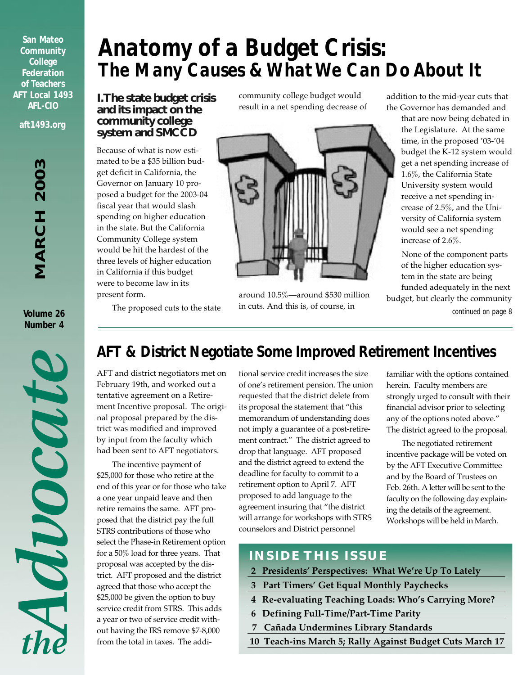**San Mateo Community College Federation of Teachers AFT Local 1493 AFL-CIO aft1493.org**

**Volume 26 Number 4**

*Anatomy of a Budget Crisis: The Many Causes & What We Can Do About It*

#### **I. The state budget crisis and its impact on the community college system and SMCCD**

Because of what is now estimated to be a \$35 billion budget deficit in California, the Governor on January 10 proposed a budget for the 2003-04 fiscal year that would slash spending on higher education in the state. But the California Community College system would be hit the hardest of the three levels of higher education in California if this budget were to become law in its present form.

community college budget would result in a net spending decrease of



around 10.5%—around \$530 million in cuts. And this is, of course, in

addition to the mid-year cuts that the Governor has demanded and

> that are now being debated in the Legislature. At the same time, in the proposed '03-'04 budget the K-12 system would get a net spending increase of 1.6%, the California State University system would receive a net spending increase of 2.5%, and the University of California system would see a net spending increase of 2.6%.

None of the component parts of the higher education system in the state are being funded adequately in the next budget, but clearly the community *continued on page 8*

The proposed cuts to the state

# Monora

## *AFT & District Negotiate Some Improved Retirement Incentives*

AFT and district negotiators met on February 19th, and worked out a tentative agreement on a Retirement Incentive proposal. The original proposal prepared by the district was modified and improved by input from the faculty which had been sent to AFT negotiators.

The incentive payment of \$25,000 for those who retire at the end of this year or for those who take a one year unpaid leave and then retire remains the same. AFT proposed that the district pay the full STRS contributions of those who select the Phase-in Retirement option for a 50% load for three years. That proposal was accepted by the district. AFT proposed and the district agreed that those who accept the \$25,000 be given the option to buy service credit from STRS. This adds a year or two of service credit without having the IRS remove \$7-8,000 from the total in taxes. The additional service credit increases the size of one's retirement pension. The union requested that the district delete from its proposal the statement that "this memorandum of understanding does not imply a guarantee of a post-retirement contract." The district agreed to drop that language. AFT proposed and the district agreed to extend the deadline for faculty to commit to a retirement option to April 7. AFT proposed to add language to the agreement insuring that "the district will arrange for workshops with STRS counselors and District personnel

familiar with the options contained herein. Faculty members are strongly urged to consult with their financial advisor prior to selecting any of the options noted above." The district agreed to the proposal.

The negotiated retirement incentive package will be voted on by the AFT Executive Committee and by the Board of Trustees on Feb. 26th. A letter will be sent to the faculty on the following day explaining the details of the agreement. Workshops will be held in March.

#### **INSIDE THIS ISSUE**

- **2 Presidents' Perspectives: What We're Up To Lately**
- **3 Part Timers' Get Equal Monthly Paychecks**
- **4 Re-evaluating Teaching Loads: Who's Carrying More?**
- **6 Defining Full-Time/Part-Time Parity**
- **7 Cañada Undermines Library Standards**
- **10 Teach-ins March 5; Rally Against Budget Cuts March 17**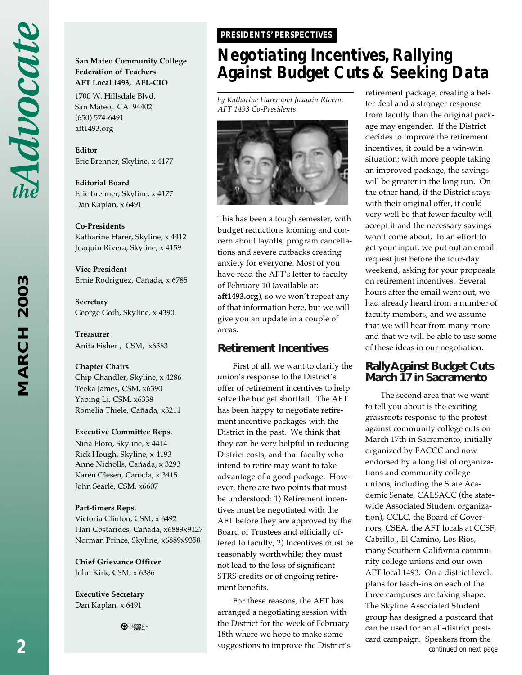Advocate

**MARCH 2003** *MARCH 2003*

#### **San Mateo Community College Federation of Teachers AFT Local 1493, AFL-CIO**

1700 W. Hillsdale Blvd. San Mateo, CA 94402 (650) 574-6491 aft1493.org

**Editor** Eric Brenner, Skyline, x 4177

**Editorial Board** Eric Brenner, Skyline, x 4177 Dan Kaplan, x 6491

#### **Co-Presidents**

Katharine Harer, Skyline, x 4412 Joaquin Rivera, Skyline, x 4159

**Vice President** Ernie Rodriguez, Cañada, x 6785

**Secretary** George Goth, Skyline, x 4390

**Treasurer** Anita Fisher , CSM, x6383

#### **Chapter Chairs**

Chip Chandler, Skyline, x 4286 Teeka James, CSM, x6390 Yaping Li, CSM, x6338 Romelia Thiele, Cañada, x3211

#### **Executive Committee Reps.**

Nina Floro, Skyline, x 4414 Rick Hough, Skyline, x 4193 Anne Nicholls, Cañada, x 3293 Karen Olesen, Cañada, x 3415 John Searle, CSM, x6607

#### **Part-timers Reps.**

Victoria Clinton, CSM, x 6492 Hari Costarides, Cañada, x6889x9127 Norman Prince, Skyline, x6889x9358

**Chief Grievance Officer** John Kirk, CSM, x 6386

**Executive Secretary** Dan Kaplan, x 6491



#### *PRESIDENTS' PERSPECTIVES PRESIDENTS' PERSPECTIVES*

## *Negotiating Incentives, Rallying Against Budget Cuts & Seeking Data*

*by Katharine Harer and Joaquin Rivera, AFT 1493 Co-Presidents*



This has been a tough semester, with budget reductions looming and concern about layoffs, program cancellations and severe cutbacks creating anxiety for everyone. Most of you have read the AFT's letter to faculty of February 10 (available at: **aft1493.org**), so we won't repeat any of that information here, but we will give you an update in a couple of areas.

#### **Retirement Incentives**

First of all, we want to clarify the union's response to the District's offer of retirement incentives to help solve the budget shortfall. The AFT has been happy to negotiate retirement incentive packages with the District in the past. We think that they can be very helpful in reducing District costs, and that faculty who intend to retire may want to take advantage of a good package. However, there are two points that must be understood: 1) Retirement incentives must be negotiated with the AFT before they are approved by the Board of Trustees and officially offered to faculty; 2) Incentives must be reasonably worthwhile; they must not lead to the loss of significant STRS credits or of ongoing retirement benefits.

For these reasons, the AFT has arranged a negotiating session with the District for the week of February 18th where we hope to make some suggestions to improve the District's retirement package, creating a better deal and a stronger response from faculty than the original package may engender. If the District decides to improve the retirement incentives, it could be a win-win situation; with more people taking an improved package, the savings will be greater in the long run. On the other hand, if the District stays with their original offer, it could very well be that fewer faculty will accept it and the necessary savings won't come about. In an effort to get your input, we put out an email request just before the four-day weekend, asking for your proposals on retirement incentives. Several hours after the email went out, we had already heard from a number of faculty members, and we assume that we will hear from many more and that we will be able to use some of these ideas in our negotiation.

#### **Rally Against Budget Cuts March 17 in Sacramento**

*continued on next page* The second area that we want to tell you about is the exciting grassroots response to the protest against community college cuts on March 17th in Sacramento, initially organized by FACCC and now endorsed by a long list of organizations and community college unions, including the State Academic Senate, CALSACC (the statewide Associated Student organization), CCLC, the Board of Governors, CSEA, the AFT locals at CCSF, Cabrillo , El Camino, Los Rios, many Southern California community college unions and our own AFT local 1493. On a district level, plans for teach-ins on each of the three campuses are taking shape. The Skyline Associated Student group has designed a postcard that can be used for an all-district postcard campaign. Speakers from the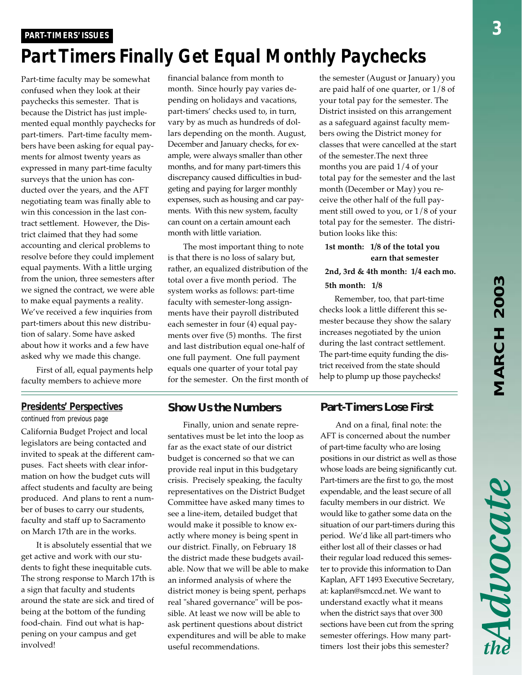### *Part Timers Finally Get Equal Monthly Paychecks PART-TIMERS' ISSUES PART-TIMERS' ISSUES*

Part-time faculty may be somewhat confused when they look at their paychecks this semester. That is because the District has just implemented equal monthly paychecks for part-timers. Part-time faculty members have been asking for equal payments for almost twenty years as expressed in many part-time faculty surveys that the union has conducted over the years, and the AFT negotiating team was finally able to win this concession in the last contract settlement. However, the District claimed that they had some accounting and clerical problems to resolve before they could implement equal payments. With a little urging from the union, three semesters after we signed the contract, we were able to make equal payments a reality. We've received a few inquiries from part-timers about this new distribution of salary. Some have asked about how it works and a few have asked why we made this change.

First of all, equal payments help faculty members to achieve more

#### financial balance from month to month. Since hourly pay varies depending on holidays and vacations, part-timers' checks used to, in turn, vary by as much as hundreds of dollars depending on the month. August, December and January checks, for example, were always smaller than other months, and for many part-timers this discrepancy caused difficulties in budgeting and paying for larger monthly expenses, such as housing and car payments. With this new system, faculty can count on a certain amount each month with little variation.

The most important thing to note is that there is no loss of salary but, rather, an equalized distribution of the total over a five month period. The system works as follows: part-time faculty with semester-long assignments have their payroll distributed each semester in four (4) equal payments over five (5) months. The first and last distribution equal one-half of one full payment. One full payment equals one quarter of your total pay for the semester. On the first month of

#### *Presidents' Perspectives*

*continued from previous page*

California Budget Project and local legislators are being contacted and invited to speak at the different campuses. Fact sheets with clear information on how the budget cuts will affect students and faculty are being produced. And plans to rent a number of buses to carry our students, faculty and staff up to Sacramento on March 17th are in the works.

It is absolutely essential that we get active and work with our students to fight these inequitable cuts. The strong response to March 17th is a sign that faculty and students around the state are sick and tired of being at the bottom of the funding food-chain. Find out what is happening on your campus and get involved!

#### **Show Us the Numbers**

Finally, union and senate representatives must be let into the loop as far as the exact state of our district budget is concerned so that we can provide real input in this budgetary crisis. Precisely speaking, the faculty representatives on the District Budget Committee have asked many times to see a line-item, detailed budget that would make it possible to know exactly where money is being spent in our district. Finally, on February 18 the district made these budgets available. Now that we will be able to make an informed analysis of where the district money is being spent, perhaps real "shared governance" will be possible. At least we now will be able to ask pertinent questions about district expenditures and will be able to make useful recommendations.

the semester (August or January) you are paid half of one quarter, or 1/8 of your total pay for the semester. The District insisted on this arrangement as a safeguard against faculty members owing the District money for classes that were cancelled at the start of the semester.The next three months you are paid 1/4 of your total pay for the semester and the last month (December or May) you receive the other half of the full payment still owed to you, or 1/8 of your total pay for the semester. The distribution looks like this:

#### **1st month: 1/8 of the total you earn that semester**

**2nd, 3rd & 4th month: 1/4 each mo.**

#### **5th month: 1/8**

Remember, too, that part-time checks look a little different this semester because they show the salary increases negotiated by the union during the last contract settlement. The part-time equity funding the district received from the state should help to plump up those paychecks!

#### **Part-Timers Lose First**

And on a final, final note: the AFT is concerned about the number of part-time faculty who are losing positions in our district as well as those whose loads are being significantly cut. Part-timers are the first to go, the most expendable, and the least secure of all faculty members in our district. We would like to gather some data on the situation of our part-timers during this period. We'd like all part-timers who either lost all of their classes or had their regular load reduced this semester to provide this information to Dan Kaplan, AFT 1493 Executive Secretary, at: kaplan@smccd.net. We want to understand exactly what it means when the district says that over 300 sections have been cut from the spring semester offerings. How many parttimers lost their jobs this semester?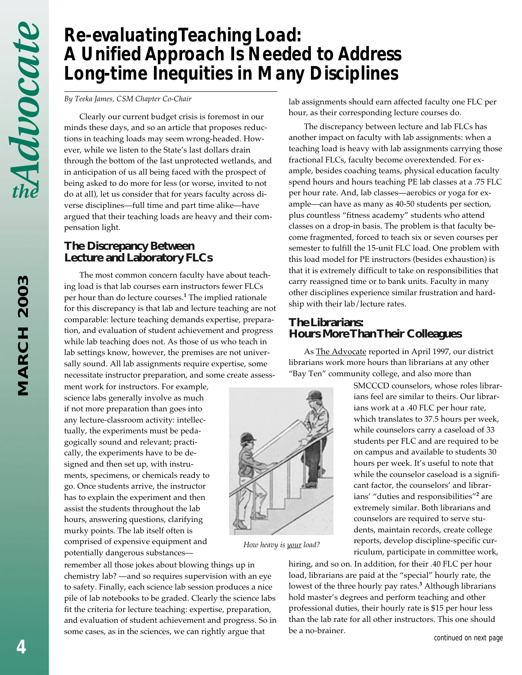# *Re-evaluating Teaching Load: A Unified Approach Is Needed to Address Long-time Inequities in Many Disciplines*

*By Teeka James, CSM Chapter Co-Chair*

Clearly our current budget crisis is foremost in our minds these days, and so an article that proposes reductions in teaching loads may seem wrong-headed. However, while we listen to the State's last dollars drain through the bottom of the last unprotected wetlands, and in anticipation of us all being faced with the prospect of being asked to do more for less (or worse, invited to not do at all), let us consider that for years faculty across diverse disciplines—full time and part time alike—have argued that their teaching loads are heavy and their compensation light.

#### **The Discrepancy Between Lecture and Laboratory FLCs**

The most common concern faculty have about teaching load is that lab courses earn instructors fewer FLCs per hour than do lecture courses.**<sup>1</sup>** The implied rationale for this discrepancy is that lab and lecture teaching are not comparable: lecture teaching demands expertise, preparation, and evaluation of student achievement and progress while lab teaching does not. As those of us who teach in lab settings know, however, the premises are not universally sound. All lab assignments require expertise, some necessitate instructor preparation, and some create assess-

ment work for instructors. For example, science labs generally involve as much if not more preparation than goes into any lecture-classroom activity: intellectually, the experiments must be pedagogically sound and relevant; practically, the experiments have to be designed and then set up, with instruments, specimens, or chemicals ready to go. Once students arrive, the instructor has to explain the experiment and then assist the students throughout the lab hours, answering questions, clarifying murky points. The lab itself often is comprised of expensive equipment and potentially dangerous substances—

remember all those jokes about blowing things up in chemistry lab? —and so requires supervision with an eye to safety. Finally, each science lab session produces a nice pile of lab notebooks to be graded. Clearly the science labs fit the criteria for lecture teaching: expertise, preparation, and evaluation of student achievement and progress. So in some cases, as in the sciences, we can rightly argue that

lab assignments should earn affected faculty one FLC per hour, as their corresponding lecture courses do.

The discrepancy between lecture and lab FLCs has another impact on faculty with lab assignments: when a teaching load is heavy with lab assignments carrying those fractional FLCs, faculty become overextended. For example, besides coaching teams, physical education faculty spend hours and hours teaching PE lab classes at a .75 FLC per hour rate. And, lab classes—aerobics or yoga for example—can have as many as 40-50 students per section, plus countless "fitness academy" students who attend classes on a drop-in basis. The problem is that faculty become fragmented, forced to teach six or seven courses per semester to fulfill the 15-unit FLC load. One problem with this load model for PE instructors (besides exhaustion) is that it is extremely difficult to take on responsibilities that carry reassigned time or to bank units. Faculty in many other disciplines experience similar frustration and hardship with their lab/lecture rates.

#### **The Librarians: Hours More Than Their Colleagues**

As The Advocate reported in April 1997, our district librarians work more hours than librarians at any other "Bay Ten" community college, and also more than



*How heavy is your load?*

SMCCCD counselors, whose roles librarians feel are similar to theirs. Our librarians work at a .40 FLC per hour rate, which translates to 37.5 hours per week, while counselors carry a caseload of 33 students per FLC and are required to be on campus and available to students 30 hours per week. It's useful to note that while the counselor caseload is a significant factor, the counselors' and librarians' "duties and responsibilities"**<sup>2</sup>** are extremely similar. Both librarians and counselors are required to serve students, maintain records, create college reports, develop discipline-specific curriculum, participate in committee work,

hiring, and so on. In addition, for their .40 FLC per hour load, librarians are paid at the "special" hourly rate, the lowest of the three hourly pay rates.**<sup>3</sup>** Although librarians hold master's degrees and perform teaching and other professional duties, their hourly rate is \$15 per hour less than the lab rate for all other instructors. This one should be a no-brainer.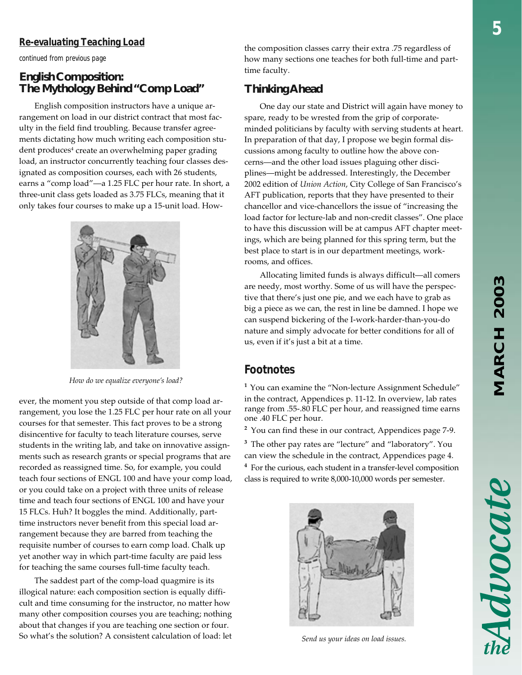# MARCH 2003 *MARCH 2003*

Advocate

#### *Re-evaluating Teaching Load*

*continued from previous page*

#### **English Composition: The Mythology Behind "Comp Load"**

English composition instructors have a unique arrangement on load in our district contract that most faculty in the field find troubling. Because transfer agreements dictating how much writing each composition student produces<sup>4</sup> create an overwhelming paper grading load, an instructor concurrently teaching four classes designated as composition courses, each with 26 students, earns a "comp load"—a 1.25 FLC per hour rate. In short, a three-unit class gets loaded as 3.75 FLCs, meaning that it only takes four courses to make up a 15-unit load. How-



*How do we equalize everyone's load?*

ever, the moment you step outside of that comp load arrangement, you lose the 1.25 FLC per hour rate on all your courses for that semester. This fact proves to be a strong disincentive for faculty to teach literature courses, serve students in the writing lab, and take on innovative assignments such as research grants or special programs that are recorded as reassigned time. So, for example, you could teach four sections of ENGL 100 and have your comp load, or you could take on a project with three units of release time and teach four sections of ENGL 100 and have your 15 FLCs. Huh? It boggles the mind. Additionally, parttime instructors never benefit from this special load arrangement because they are barred from teaching the requisite number of courses to earn comp load. Chalk up yet another way in which part-time faculty are paid less for teaching the same courses full-time faculty teach.

The saddest part of the comp-load quagmire is its illogical nature: each composition section is equally difficult and time consuming for the instructor, no matter how many other composition courses you are teaching; nothing about that changes if you are teaching one section or four. So what's the solution? A consistent calculation of load: let

the composition classes carry their extra .75 regardless of how many sections one teaches for both full-time and parttime faculty.

#### **Thinking Ahead**

One day our state and District will again have money to spare, ready to be wrested from the grip of corporateminded politicians by faculty with serving students at heart. In preparation of that day, I propose we begin formal discussions among faculty to outline how the above concerns—and the other load issues plaguing other disciplines—might be addressed. Interestingly, the December 2002 edition of *Union Action*, City College of San Francisco's AFT publication, reports that they have presented to their chancellor and vice-chancellors the issue of "increasing the load factor for lecture-lab and non-credit classes". One place to have this discussion will be at campus AFT chapter meetings, which are being planned for this spring term, but the best place to start is in our department meetings, workrooms, and offices.

Allocating limited funds is always difficult—all comers are needy, most worthy. Some of us will have the perspective that there's just one pie, and we each have to grab as big a piece as we can, the rest in line be damned. I hope we can suspend bickering of the I-work-harder-than-you-do nature and simply advocate for better conditions for all of us, even if it's just a bit at a time.

#### *Footnotes*

**<sup>1</sup>** You can examine the "Non-lecture Assignment Schedule" in the contract, Appendices p. 11-12. In overview, lab rates range from .55-.80 FLC per hour, and reassigned time earns one .40 FLC per hour.

**2** You can find these in our contract, Appendices page 7-9.

**3** The other pay rates are "lecture" and "laboratory". You can view the schedule in the contract, Appendices page 4. **4** For the curious, each student in a transfer-level composition class is required to write 8,000-10,000 words per semester.



*Send us your ideas on load issues.*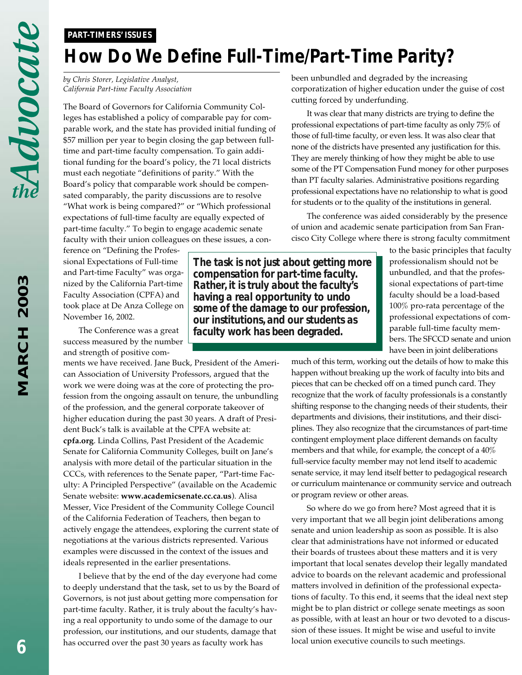#### *PART-TIMERS' ISSUES*

# *How Do We Define Full-Time/Part-Time Parity?*

*by Chris Storer, Legislative Analyst, California Part-time Faculty Association*

The Board of Governors for California Community Colleges has established a policy of comparable pay for comparable work, and the state has provided initial funding of \$57 million per year to begin closing the gap between fulltime and part-time faculty compensation. To gain additional funding for the board's policy, the 71 local districts must each negotiate "definitions of parity." With the Board's policy that comparable work should be compensated comparably, the parity discussions are to resolve "What work is being compared?" or "Which professional expectations of full-time faculty are equally expected of part-time faculty." To begin to engage academic senate faculty with their union colleagues on these issues, a con-

ference on "Defining the Professional Expectations of Full-time and Part-time Faculty" was organized by the California Part-time Faculty Association (CPFA) and took place at De Anza College on November 16, 2002.

The Conference was a great success measured by the number and strength of positive com-

ments we have received. Jane Buck, President of the American Association of University Professors, argued that the work we were doing was at the core of protecting the profession from the ongoing assault on tenure, the unbundling of the profession, and the general corporate takeover of higher education during the past 30 years. A draft of President Buck's talk is available at the CPFA website at: **cpfa.org**. Linda Collins, Past President of the Academic Senate for California Community Colleges, built on Jane's analysis with more detail of the particular situation in the CCCs, with references to the Senate paper, "Part-time Faculty: A Principled Perspective" (available on the Academic Senate website: **www.academicsenate.cc.ca.us**). Alisa Messer, Vice President of the Community College Council of the California Federation of Teachers, then began to actively engage the attendees, exploring the current state of negotiations at the various districts represented. Various examples were discussed in the context of the issues and ideals represented in the earlier presentations.

I believe that by the end of the day everyone had come to deeply understand that the task, set to us by the Board of Governors, is not just about getting more compensation for part-time faculty. Rather, it is truly about the faculty's having a real opportunity to undo some of the damage to our profession, our institutions, and our students, damage that has occurred over the past 30 years as faculty work has

been unbundled and degraded by the increasing corporatization of higher education under the guise of cost cutting forced by underfunding.

It was clear that many districts are trying to define the professional expectations of part-time faculty as only 75% of those of full-time faculty, or even less. It was also clear that none of the districts have presented any justification for this. They are merely thinking of how they might be able to use some of the PT Compensation Fund money for other purposes than PT faculty salaries. Administrative positions regarding professional expectations have no relationship to what is good for students or to the quality of the institutions in general.

The conference was aided considerably by the presence of union and academic senate participation from San Francisco City College where there is strong faculty commitment

> to the basic principles that faculty professionalism should not be unbundled, and that the professional expectations of part-time faculty should be a load-based 100% pro-rata percentage of the professional expectations of comparable full-time faculty members. The SFCCD senate and union have been in joint deliberations

much of this term, working out the details of how to make this happen without breaking up the work of faculty into bits and pieces that can be checked off on a timed punch card. They recognize that the work of faculty professionals is a constantly shifting response to the changing needs of their students, their departments and divisions, their institutions, and their disciplines. They also recognize that the circumstances of part-time contingent employment place different demands on faculty members and that while, for example, the concept of a 40% full-service faculty member may not lend itself to academic senate service, it may lend itself better to pedagogical research or curriculum maintenance or community service and outreach or program review or other areas.

So where do we go from here? Most agreed that it is very important that we all begin joint deliberations among senate and union leadership as soon as possible. It is also clear that administrations have not informed or educated their boards of trustees about these matters and it is very important that local senates develop their legally mandated advice to boards on the relevant academic and professional matters involved in definition of the professional expectations of faculty. To this end, it seems that the ideal next step might be to plan district or college senate meetings as soon as possible, with at least an hour or two devoted to a discussion of these issues. It might be wise and useful to invite local union executive councils to such meetings.

*The task is not just about getting more compensation for part-time faculty. Rather, it is truly about the faculty's having a real opportunity to undo some of the damage to our profession, our institutions, and our students as faculty work has been degraded.*

*MARCH 2003*

**MARCH 2003**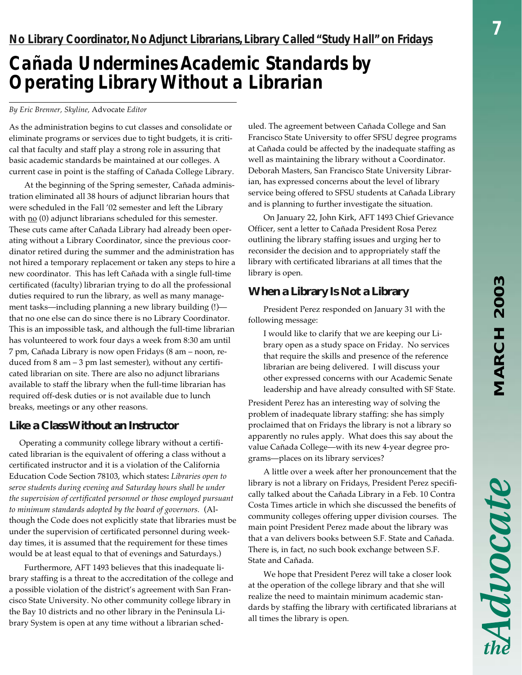Advocate

## *Cañada Undermines Academic Standards by Operating Library Without a Librarian*

#### *By Eric Brenner, Skyline,* Advocate *Editor*

As the administration begins to cut classes and consolidate or eliminate programs or services due to tight budgets, it is critical that faculty and staff play a strong role in assuring that basic academic standards be maintained at our colleges. A current case in point is the staffing of Cañada College Library.

At the beginning of the Spring semester, Cañada administration eliminated all 38 hours of adjunct librarian hours that were scheduled in the Fall '02 semester and left the Library with  $\underline{no}$  (0) adjunct librarians scheduled for this semester. These cuts came after Cañada Library had already been operating without a Library Coordinator, since the previous coordinator retired during the summer and the administration has not hired a temporary replacement or taken any steps to hire a new coordinator. This has left Cañada with a single full-time certificated (faculty) librarian trying to do all the professional duties required to run the library, as well as many management tasks—including planning a new library building (!) that no one else can do since there is no Library Coordinator. This is an impossible task, and although the full-time librarian has volunteered to work four days a week from 8:30 am until 7 pm, Cañada Library is now open Fridays (8 am – noon, reduced from 8 am – 3 pm last semester), without any certificated librarian on site. There are also no adjunct librarians available to staff the library when the full-time librarian has required off-desk duties or is not available due to lunch breaks, meetings or any other reasons.

#### **Like a Class Without an Instructor**

 Operating a community college library without a certificated librarian is the equivalent of offering a class without a certificated instructor and it is a violation of the California Education Code Section 78103, which states**:** *Libraries open to serve students during evening and Saturday hours shall be under the supervision of certificated personnel or those employed pursuant to minimum standards adopted by the board of governors.* (Although the Code does not explicitly state that libraries must be under the supervision of certificated personnel during weekday times, it is assumed that the requirement for these times would be at least equal to that of evenings and Saturdays.)

Furthermore, AFT 1493 believes that this inadequate library staffing is a threat to the accreditation of the college and a possible violation of the district's agreement with San Francisco State University. No other community college library in the Bay 10 districts and no other library in the Peninsula Library System is open at any time without a librarian sched-

uled. The agreement between Cañada College and San Francisco State University to offer SFSU degree programs at Cañada could be affected by the inadequate staffing as well as maintaining the library without a Coordinator. Deborah Masters, San Francisco State University Librarian, has expressed concerns about the level of library service being offered to SFSU students at Cañada Library and is planning to further investigate the situation.

On January 22, John Kirk, AFT 1493 Chief Grievance Officer, sent a letter to Cañada President Rosa Perez outlining the library staffing issues and urging her to reconsider the decision and to appropriately staff the library with certificated librarians at all times that the library is open.

#### **When a Library Is Not a Library**

President Perez responded on January 31 with the following message:

I would like to clarify that we are keeping our Library open as a study space on Friday. No services that require the skills and presence of the reference librarian are being delivered. I will discuss your other expressed concerns with our Academic Senate leadership and have already consulted with SF State.

President Perez has an interesting way of solving the problem of inadequate library staffing: she has simply proclaimed that on Fridays the library is not a library so apparently no rules apply. What does this say about the value Cañada College—with its new 4-year degree programs—places on its library services?

A little over a week after her pronouncement that the library is not a library on Fridays, President Perez specifically talked about the Cañada Library in a Feb. 10 Contra Costa Times article in which she discussed the benefits of community colleges offering upper division courses. The main point President Perez made about the library was that a van delivers books between S.F. State and Cañada. There is, in fact, no such book exchange between S.F. State and Cañada.

We hope that President Perez will take a closer look at the operation of the college library and that she will realize the need to maintain minimum academic standards by staffing the library with certificated librarians at all times the library is open.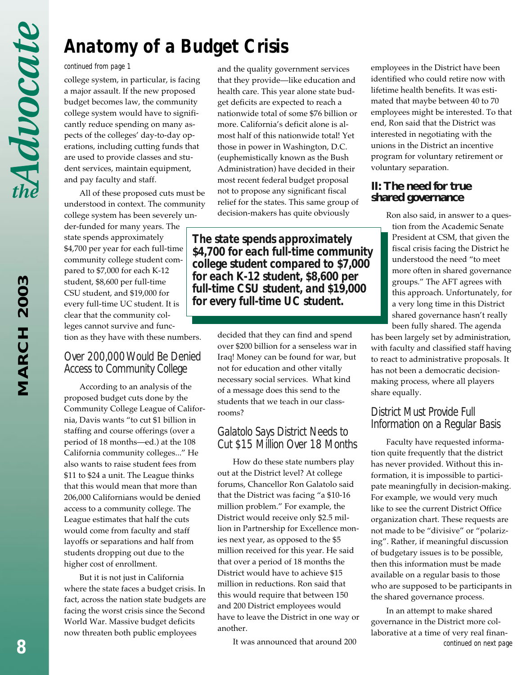# **MARCH 2003** *MARCH 2003*

# *Anatomy of a Budget Crisis*

#### *continued from page 1*

college system, in particular, is facing a major assault. If the new proposed budget becomes law, the community college system would have to significantly reduce spending on many aspects of the colleges' day-to-day operations, including cutting funds that are used to provide classes and student services, maintain equipment, and pay faculty and staff.

All of these proposed cuts must be understood in context. The community college system has been severely un-

der-funded for many years. The state spends approximately \$4,700 per year for each full-time community college student compared to \$7,000 for each K-12 student, \$8,600 per full-time CSU student, and \$19,000 for every full-time UC student. It is clear that the community colleges cannot survive and function as they have with these numbers.

#### *Over 200,000 Would Be Denied Access to Community College*

According to an analysis of the proposed budget cuts done by the Community College League of California, Davis wants "to cut \$1 billion in staffing and course offerings (over a period of 18 months—ed.) at the 108 California community colleges..." He also wants to raise student fees from \$11 to \$24 a unit. The League thinks that this would mean that more than 206,000 Californians would be denied access to a community college. The League estimates that half the cuts would come from faculty and staff layoffs or separations and half from students dropping out due to the higher cost of enrollment.

But it is not just in California where the state faces a budget crisis. In fact, across the nation state budgets are facing the worst crisis since the Second World War. Massive budget deficits now threaten both public employees

and the quality government services that they provide—like education and health care. This year alone state budget deficits are expected to reach a nationwide total of some \$76 billion or more. California's deficit alone is almost half of this nationwide total! Yet those in power in Washington, D.C. (euphemistically known as the Bush Administration) have decided in their most recent federal budget proposal not to propose any significant fiscal relief for the states. This same group of decision-makers has quite obviously

*The state spends approximately \$4,700 for each full-time community college student compared to \$7,000 for each K-12 student, \$8,600 per full-time CSU student, and \$19,000 for every full-time UC student.*

> decided that they can find and spend over \$200 billion for a senseless war in Iraq! Money can be found for war, but not for education and other vitally necessary social services. What kind of a message does this send to the students that we teach in our classrooms?

#### *Galatolo Says District Needs to Cut \$15 Million Over 18 Months*

How do these state numbers play out at the District level? At college forums, Chancellor Ron Galatolo said that the District was facing "a \$10-16 million problem." For example, the District would receive only \$2.5 million in Partnership for Excellence monies next year, as opposed to the \$5 million received for this year. He said that over a period of 18 months the District would have to achieve \$15 million in reductions. Ron said that this would require that between 150 and 200 District employees would have to leave the District in one way or another.

It was announced that around 200

employees in the District have been identified who could retire now with lifetime health benefits. It was estimated that maybe between 40 to 70 employees might be interested. To that end, Ron said that the District was interested in negotiating with the unions in the District an incentive program for voluntary retirement or voluntary separation.

#### **II: The need for true shared governance**

Ron also said, in answer to a question from the Academic Senate President at CSM, that given the fiscal crisis facing the District he understood the need "to meet more often in shared governance groups." The AFT agrees with this approach. Unfortunately, for a very long time in this District shared governance hasn't really been fully shared. The agenda

has been largely set by administration, with faculty and classified staff having to react to administrative proposals. It has not been a democratic decisionmaking process, where all players share equally.

#### *District Must Provide Full Information on a Regular Basis*

Faculty have requested information quite frequently that the district has never provided. Without this information, it is impossible to participate meaningfully in decision-making. For example, we would very much like to see the current District Office organization chart. These requests are not made to be "divisive" or "polarizing". Rather, if meaningful discussion of budgetary issues is to be possible, then this information must be made available on a regular basis to those who are supposed to be participants in the shared governance process.

In an attempt to make shared governance in the District more collaborative at a time of very real finan*continued on next page*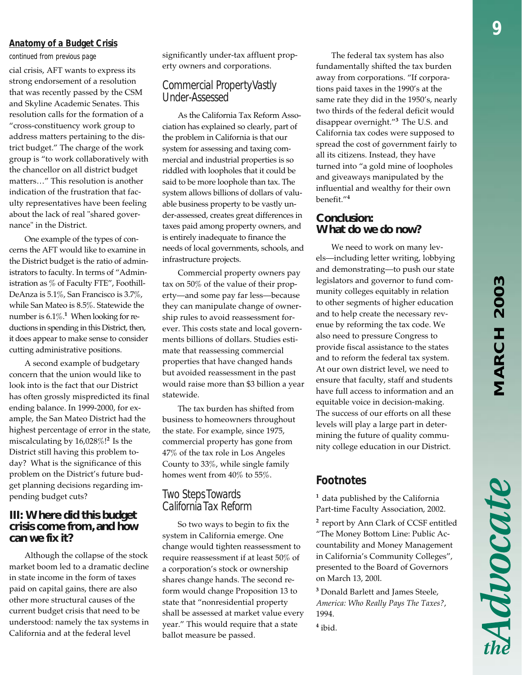# MARCH 2003 *MARCH 2003*

#### *Anatomy of a Budget Crisis*

cial crisis, AFT wants to express its strong endorsement of a resolution that was recently passed by the CSM and Skyline Academic Senates. This resolution calls for the formation of a "cross-constituency work group to address matters pertaining to the district budget." The charge of the work group is "to work collaboratively with the chancellor on all district budget matters…" This resolution is another indication of the frustration that faculty representatives have been feeling about the lack of real "shared governance" in the District.

One example of the types of concerns the AFT would like to examine in the District budget is the ratio of administrators to faculty. In terms of "Administration as % of Faculty FTE", Foothill-DeAnza is 5.1%, San Francisco is 3.7%, while San Mateo is 8.5%. Statewide the number is 6.1%.**<sup>1</sup>** When looking for reductions in spending in this District, then, it does appear to make sense to consider cutting administrative positions.

A second example of budgetary concern that the union would like to look into is the fact that our District has often grossly mispredicted its final ending balance. In 1999-2000, for example, the San Mateo District had the highest percentage of error in the state, miscalculating by 16,028%!**<sup>2</sup>** Is the District still having this problem today? What is the significance of this problem on the District's future budget planning decisions regarding impending budget cuts?

#### **III: Where did this budget crisis come from, and how can we fix it?**

Although the collapse of the stock market boom led to a dramatic decline in state income in the form of taxes paid on capital gains, there are also other more structural causes of the current budget crisis that need to be understood: namely the tax systems in California and at the federal level

significantly under-tax affluent prop-*continued from previous page* The federal tax system has also erty owners and corporations.

#### *Commercial Property Vastly Under-Assessed*

As the California Tax Reform Association has explained so clearly, part of the problem in California is that our system for assessing and taxing commercial and industrial properties is so riddled with loopholes that it could be said to be more loophole than tax. The system allows billions of dollars of valuable business property to be vastly under-assessed, creates great differences in taxes paid among property owners, and is entirely inadequate to finance the needs of local governments, schools, and infrastructure projects.

Commercial property owners pay tax on 50% of the value of their property—and some pay far less—because they can manipulate change of ownership rules to avoid reassessment forever. This costs state and local governments billions of dollars. Studies estimate that reassessing commercial properties that have changed hands but avoided reassessment in the past would raise more than \$3 billion a year statewide.

The tax burden has shifted from business to homeowners throughout the state. For example, since 1975, commercial property has gone from 47% of the tax role in Los Angeles County to 33%, while single family homes went from 40% to 55%.

#### *Two Steps Towards California Tax Reform*

So two ways to begin to fix the system in California emerge. One change would tighten reassessment to require reassessment if at least 50% of a corporation's stock or ownership shares change hands. The second reform would change Proposition 13 to state that "nonresidential property shall be assessed at market value every year." This would require that a state ballot measure be passed.

fundamentally shifted the tax burden away from corporations. "If corporations paid taxes in the 1990's at the same rate they did in the 1950's, nearly two thirds of the federal deficit would disappear overnight."**<sup>3</sup>**The U.S. and California tax codes were supposed to spread the cost of government fairly to all its citizens. Instead, they have turned into "a gold mine of loopholes and giveaways manipulated by the influential and wealthy for their own benefit."**<sup>4</sup>**

#### **Conclusion: What do we do now?**

We need to work on many levels—including letter writing, lobbying and demonstrating—to push our state legislators and governor to fund community colleges equitably in relation to other segments of higher education and to help create the necessary revenue by reforming the tax code. We also need to pressure Congress to provide fiscal assistance to the states and to reform the federal tax system. At our own district level, we need to ensure that faculty, staff and students have full access to information and an equitable voice in decision-making. The success of our efforts on all these levels will play a large part in determining the future of quality community college education in our District.

#### *Footnotes*

<sup>1</sup> data published by the California Part-time Faculty Association, 2002.

**<sup>2</sup>** report by Ann Clark of CCSF entitled "The Money Bottom Line: Public Accountability and Money Management in California's Community Colleges", presented to the Board of Governors on March 13, 200l.

**3** Donald Barlett and James Steele, *America: Who Really Pays The Taxes?*, 1994.

**4** ibid.